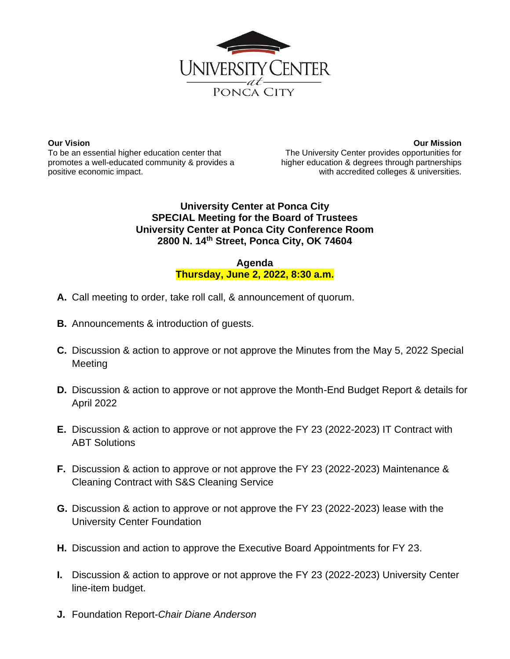

**Our Vision** To be an essential higher education center that promotes a well-educated community & provides a positive economic impact.

**Our Mission** The University Center provides opportunities for higher education & degrees through partnerships with accredited colleges & universities.

## **University Center at Ponca City SPECIAL Meeting for the Board of Trustees University Center at Ponca City Conference Room 2800 N. 14th Street, Ponca City, OK 74604**

## **Agenda Thursday, June 2, 2022, 8:30 a.m.**

- **A.** Call meeting to order, take roll call, & announcement of quorum.
- **B.** Announcements & introduction of guests.
- **C.** Discussion & action to approve or not approve the Minutes from the May 5, 2022 Special **Meeting**
- **D.** Discussion & action to approve or not approve the Month-End Budget Report & details for April 2022
- **E.** Discussion & action to approve or not approve the FY 23 (2022-2023) IT Contract with ABT Solutions
- **F.** Discussion & action to approve or not approve the FY 23 (2022-2023) Maintenance & Cleaning Contract with S&S Cleaning Service
- **G.** Discussion & action to approve or not approve the FY 23 (2022-2023) lease with the University Center Foundation
- **H.** Discussion and action to approve the Executive Board Appointments for FY 23.
- **I.** Discussion & action to approve or not approve the FY 23 (2022-2023) University Center line-item budget.
- **J.** Foundation Report-*Chair Diane Anderson*